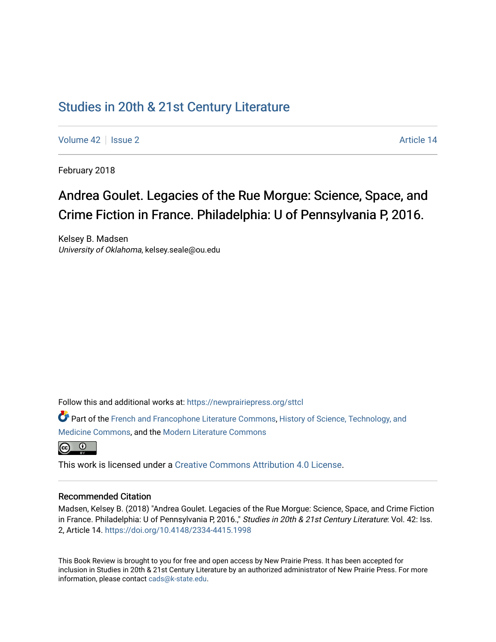## [Studies in 20th & 21st Century Literature](https://newprairiepress.org/sttcl)

[Volume 42](https://newprairiepress.org/sttcl/vol42) | [Issue 2](https://newprairiepress.org/sttcl/vol42/iss2) Article 14

February 2018

# Andrea Goulet. Legacies of the Rue Morgue: Science, Space, and Crime Fiction in France. Philadelphia: U of Pennsylvania P, 2016.

Kelsey B. Madsen University of Oklahoma, kelsey.seale@ou.edu

Follow this and additional works at: [https://newprairiepress.org/sttcl](https://newprairiepress.org/sttcl?utm_source=newprairiepress.org%2Fsttcl%2Fvol42%2Fiss2%2F14&utm_medium=PDF&utm_campaign=PDFCoverPages) 

Part of the [French and Francophone Literature Commons,](http://network.bepress.com/hgg/discipline/465?utm_source=newprairiepress.org%2Fsttcl%2Fvol42%2Fiss2%2F14&utm_medium=PDF&utm_campaign=PDFCoverPages) [History of Science, Technology, and](http://network.bepress.com/hgg/discipline/500?utm_source=newprairiepress.org%2Fsttcl%2Fvol42%2Fiss2%2F14&utm_medium=PDF&utm_campaign=PDFCoverPages) [Medicine Commons](http://network.bepress.com/hgg/discipline/500?utm_source=newprairiepress.org%2Fsttcl%2Fvol42%2Fiss2%2F14&utm_medium=PDF&utm_campaign=PDFCoverPages), and the [Modern Literature Commons](http://network.bepress.com/hgg/discipline/1050?utm_source=newprairiepress.org%2Fsttcl%2Fvol42%2Fiss2%2F14&utm_medium=PDF&utm_campaign=PDFCoverPages) 



This work is licensed under a [Creative Commons Attribution 4.0 License](https://creativecommons.org/licenses/by/4.0/).

#### Recommended Citation

Madsen, Kelsey B. (2018) "Andrea Goulet. Legacies of the Rue Morgue: Science, Space, and Crime Fiction in France. Philadelphia: U of Pennsylvania P, 2016.," Studies in 20th & 21st Century Literature: Vol. 42: Iss. 2, Article 14. <https://doi.org/10.4148/2334-4415.1998>

This Book Review is brought to you for free and open access by New Prairie Press. It has been accepted for inclusion in Studies in 20th & 21st Century Literature by an authorized administrator of New Prairie Press. For more information, please contact [cads@k-state.edu](mailto:cads@k-state.edu).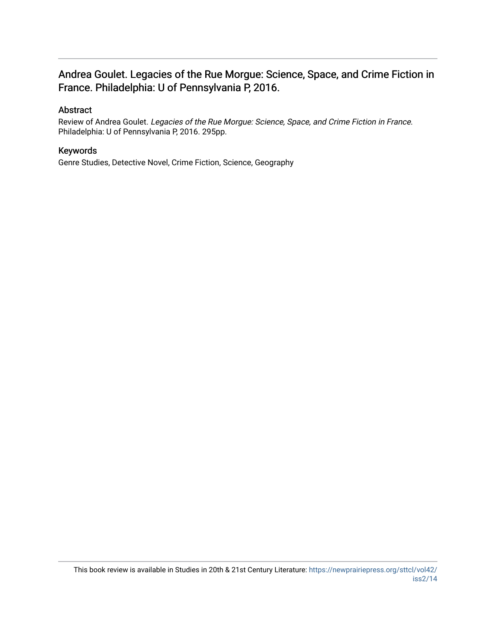### Andrea Goulet. Legacies of the Rue Morgue: Science, Space, and Crime Fiction in France. Philadelphia: U of Pennsylvania P, 2016.

### Abstract

Review of Andrea Goulet. Legacies of the Rue Morgue: Science, Space, and Crime Fiction in France. Philadelphia: U of Pennsylvania P, 2016. 295pp.

### Keywords

Genre Studies, Detective Novel, Crime Fiction, Science, Geography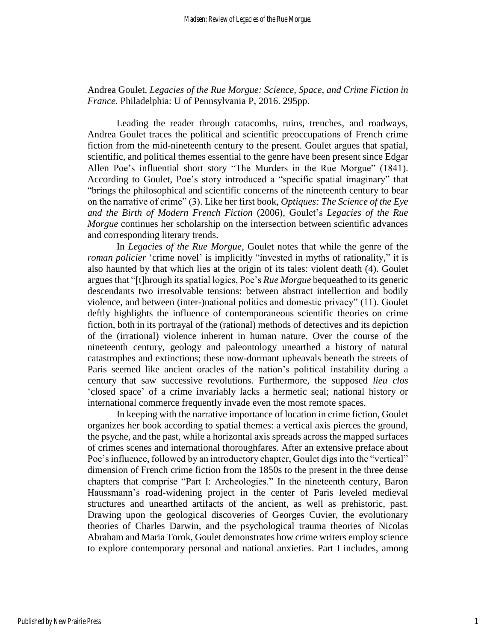Andrea Goulet. *Legacies of the Rue Morgue: Science, Space, and Crime Fiction in France*. Philadelphia: U of Pennsylvania P, 2016. 295pp.

Leading the reader through catacombs, ruins, trenches, and roadways, Andrea Goulet traces the political and scientific preoccupations of French crime fiction from the mid-nineteenth century to the present. Goulet argues that spatial, scientific, and political themes essential to the genre have been present since Edgar Allen Poe's influential short story "The Murders in the Rue Morgue" (1841). According to Goulet, Poe's story introduced a "specific spatial imaginary" that "brings the philosophical and scientific concerns of the nineteenth century to bear on the narrative of crime" (3). Like her first book, *Optiques: The Science of the Eye and the Birth of Modern French Fiction* (2006), Goulet's *Legacies of the Rue Morgue* continues her scholarship on the intersection between scientific advances and corresponding literary trends.

In *Legacies of the Rue Morgue*, Goulet notes that while the genre of the *roman policier* 'crime novel' is implicitly "invested in myths of rationality," it is also haunted by that which lies at the origin of its tales: violent death (4). Goulet argues that "[t]hrough its spatial logics, Poe's *Rue Morgue* bequeathed to its generic descendants two irresolvable tensions: between abstract intellection and bodily violence, and between (inter-)national politics and domestic privacy" (11). Goulet deftly highlights the influence of contemporaneous scientific theories on crime fiction, both in its portrayal of the (rational) methods of detectives and its depiction of the (irrational) violence inherent in human nature. Over the course of the nineteenth century, geology and paleontology unearthed a history of natural catastrophes and extinctions; these now-dormant upheavals beneath the streets of Paris seemed like ancient oracles of the nation's political instability during a century that saw successive revolutions. Furthermore, the supposed *lieu clos*  'closed space' of a crime invariably lacks a hermetic seal; national history or international commerce frequently invade even the most remote spaces.

In keeping with the narrative importance of location in crime fiction, Goulet organizes her book according to spatial themes: a vertical axis pierces the ground, the psyche, and the past, while a horizontal axis spreads across the mapped surfaces of crimes scenes and international thoroughfares. After an extensive preface about Poe's influence, followed by an introductory chapter, Goulet digs into the "vertical" dimension of French crime fiction from the 1850s to the present in the three dense chapters that comprise "Part I: Archeologies." In the nineteenth century, Baron Haussmann's road-widening project in the center of Paris leveled medieval structures and unearthed artifacts of the ancient, as well as prehistoric, past. Drawing upon the geological discoveries of Georges Cuvier, the evolutionary theories of Charles Darwin, and the psychological trauma theories of Nicolas Abraham and Maria Torok, Goulet demonstrates how crime writers employ science to explore contemporary personal and national anxieties. Part I includes, among